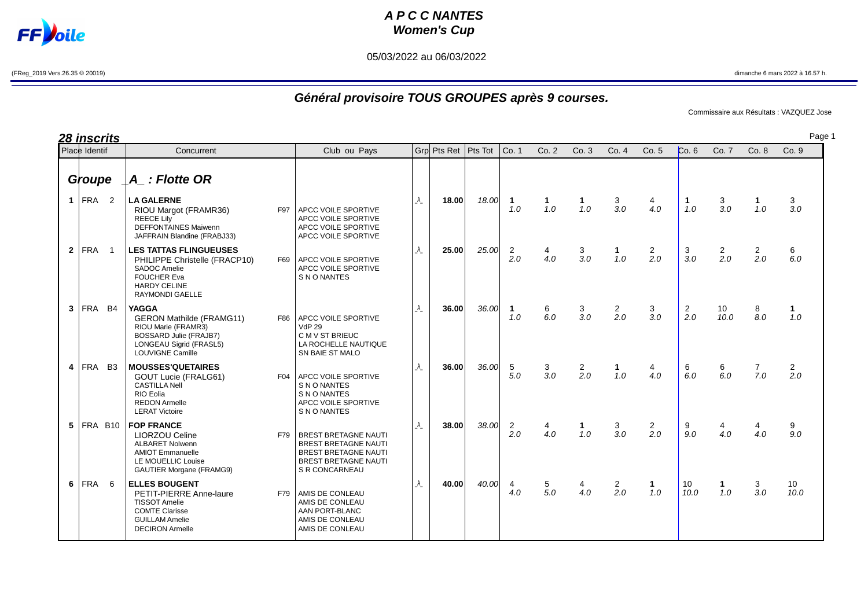## **A P C C NANTES Women's Cup**

05/03/2022 au 06/03/2022

**Joile** 

F

Page 1

## **Général provisoire TOUS GROUPES après 9 courses.**

Commissaire aux Résultats : VAZQUEZ Jose

**28 inscrits Groupe \_A\_ : Flotte OR 1** FRA 2 **LA GALERNE** \_A\_ **18.00** 18.00 **1 1 1** 3 4 **1** 3 **1** 3 RIOU Margot (FRAMR36) F97 APCC VOILE SPORTIVE 1.0 1.0 1.0 3.0 4.0 1.0 3.0 1.0 3.0 APCC VOILE SPORTIVE<br>APCC VOILE SPORTIVE DEFFONTAINES Maiwenn<br>
JAFFRAIN Blandine (FRABJ33) APCC VOILE SPORTIVE JAFFRAIN Blandine (FRABJ33) **2** FRA 1 **LES TATTAS FLINGUEUSES 12 12 13 21 14 14 25.00 25.00 25.00 25.00 20 4.0 2.0 1.0 2.0 2.0 2.0 2.0 2.0 6.0 2.0 2.0 2.0 2.0 2.0 2.0 2.0 2.0 2.0 6.0** PHILIPPE Christelle (FRACP10)<br>SADOC Amelie SADOC Amelie  $\overline{A}$  APCC VOILE SPORTIVE<br>FOUCHER Eva S N O NANTES HARDY CELINE RAYMONDI GAELLE **3** FRA B4 **YAGGA** \_A\_ **36.00** 36.00 **1** 6 3 2 3 2 10 8 **1** GERON Mathilde (FRAMG11) F86 APCC VOILE SPORTIVE | | | 1.0 6.0 3.0 2.0 3.0 2.0 10.0 8.0 1.0<br>RIOU Marie (FRAMR3) RIOU Marie (FRAMR3) BOSSARD Julie (FRAJB7) C M V ST BRIEUC<br>
LONGEAU Sigrid (FRASL5) LA ROCHELLE NA LONGEAU Sigrid (FRASL5) LA ROCHELLE NAUTIQUE<br>LOUVIGNE Camille SN BAIE ST MALO **4** FRA B3 **MOUSSES'QUETAIRES**  $\begin{bmatrix} 4 & 36.00 & 36.00 & 5 & 3 & 2 & 1 & 4 & 6 & 6 & 7 & 2 \ 601 & 1 & 1 & 6 & 6 & 7 & 2 & 6 \end{bmatrix}$  40 60 7 2.0 GOUT Lucie (FRALG61) F04 APCC VOILE SPORTIVE<br>CASTILLA Nell S.N.O.NANTES CASTILLA Nell  $\begin{array}{c} | \\ | \\ | \end{array}$  S N O NANTES S N O NANTES REDON Armelle APCC VOILE SPORTIVE LERAT Victoire **S N O NANTES 5** FRA B10 **FOP FRANCE** \_A\_ **38.00** 38.00 2 4 **1** 3 2 9 4 4 9 LIORZOU Celine F79 BREST BRETAGNE NAUTI 2.0 4.0 1.0 3.0 2.0 9.0 4.0 4.0 9.0 ALBARET Nolwenn **BREST BREST BREST BREST BREST BREST AND A**<br>BREST BREST BREST NAUTI AMIOT Emmanuelle BREST BRETAGNE NAUTILE MOUELLIC Louise **BREST BRETAGNE NAUTI** GAUTIER Morgane (FRAMG9) SR CONCARNEAU **6** FRA 6 **ELLES BOUGENT** \_A\_ **40.00** 40.00 4 5 4 2 **1** 10 **1** 3 10 PETIT-PIERRE Anne-laure F79 AMIS DE CONLEAU **1999 1999 1999 1999 100 100 100 100 100** 1.0 3.0 10.0<br>TISSOT Amelie AMIS DE CONLEAU COMTE Clarisse ARAN PORT-BLANC GUILLAM Amelie AMIS DE CONLEAU<br>DECIRON Armelie AMIS DE CONLEAU Place Identif Concurrent Club ou Pays Grp Pts Ret | Pts Tot |Co. 1 Co. 2 Co. 3 Co. 4 Co. 5 Co. 6 Co. 7 Co. 8 Co. 9

AMIS DE CONLEAU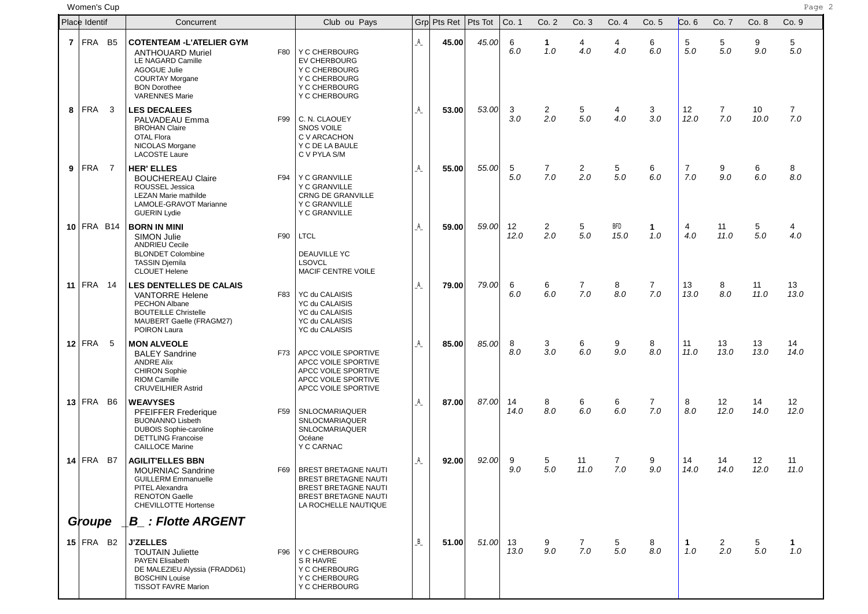women'**s Cup** Page 2 (Page 2) Page 2 (Page 2) Page 2 (Page 2) Page 2 (Page 2) Page 2

| Place Identif  |                         |           | Concurrent                                                                                                                                                                        |     | Club ou Pays                                                                                                                              |                | Grp Pts Ret | Pts Tot    | Co. 1      | Co. 2                 | Co. 3                 | Co. 4       | Co. 5                 | Co.6                  | Co. 7               | Co. 8      | Co. 9                 |
|----------------|-------------------------|-----------|-----------------------------------------------------------------------------------------------------------------------------------------------------------------------------------|-----|-------------------------------------------------------------------------------------------------------------------------------------------|----------------|-------------|------------|------------|-----------------------|-----------------------|-------------|-----------------------|-----------------------|---------------------|------------|-----------------------|
| $\overline{7}$ | <b>FRA</b>              | B5        | <b>COTENTEAM - L'ATELIER GYM</b><br><b>ANTHOUARD Muriel</b><br>LE NAGARD Camille<br><b>AGOGUE Julie</b><br><b>COURTAY Morgane</b><br><b>BON Dorothee</b><br><b>VARENNES Marie</b> | F80 | Y C CHERBOURG<br><b>EV CHERBOURG</b><br>Y C CHERBOURG<br>Y C CHERBOURG<br>Y C CHERBOURG<br>Y C CHERBOURG                                  | A              | 45.00       | 45.00      | 6<br>6.0   | -1<br>1.0             | 4<br>4.0              | 4<br>4.0    | 6<br>6.0              | 5<br>5.0              | 5<br>5.0            | 9<br>9.0   | 5<br>5.0              |
| 8              | FRA                     | 3         | <b>LES DECALEES</b><br>PALVADEAU Emma<br><b>BROHAN Claire</b><br>OTAL Flora<br>NICOLAS Morgane<br><b>LACOSTE Laure</b>                                                            | F99 | C. N. CLAOUEY<br><b>SNOS VOILE</b><br>C V ARCACHON<br>Y C DE LA BAULE<br>C V PYLA S/M                                                     | A              | 53.00       | 53.00      | 3<br>3.0   | 2<br>2.0              | 5<br>5.0              | 4<br>4.0    | 3<br>3.0              | 12<br>12.0            | $\mathbf{7}$<br>7.0 | 10<br>10.0 | $\overline{7}$<br>7.0 |
| 9              | FRA                     | 7         | <b>HER' ELLES</b><br><b>BOUCHEREAU Claire</b><br>ROUSSEL Jessica<br><b>LEZAN Marie mathilde</b><br>LAMOLE-GRAVOT Marianne<br><b>GUERIN Lydie</b>                                  | F94 | Y C GRANVILLE<br>Y C GRANVILLE<br><b>CRNG DE GRANVILLE</b><br><b>Y C GRANVILLE</b><br><b>Y C GRANVILLE</b>                                | A              | 55.00       | 55.00      | 5<br>5.0   | $\overline{7}$<br>7.0 | $\overline{2}$<br>2.0 | 5<br>5.0    | 6<br>6.0              | $\overline{7}$<br>7.0 | 9<br>9.0            | 6<br>6.0   | 8<br>8.0              |
|                | $10$ FRA B14            |           | <b>BORN IN MINI</b><br><b>SIMON Julie</b><br><b>ANDRIEU Cecile</b><br><b>BLONDET Colombine</b><br><b>TASSIN Djemila</b><br><b>CLOUET Helene</b>                                   | F90 | <b>LTCL</b><br><b>DEAUVILLE YC</b><br><b>LSOVCL</b><br>MACIF CENTRE VOILE                                                                 | A              | 59.00       | 59.00      | 12<br>12.0 | $\overline{2}$<br>2.0 | 5<br>5.0              | BFD<br>15.0 | $\mathbf 1$<br>1.0    | 4<br>4.0              | 11<br>11.0          | 5<br>5.0   | 4<br>4.0              |
|                | 11   FRA $14$           |           | <b>LES DENTELLES DE CALAIS</b><br><b>VANTORRE Helene</b><br>PECHON Albane<br><b>BOUTEILLE Christelle</b><br>MAUBERT Gaelle (FRAGM27)<br>POIRON Laura                              | F83 | YC du CALAISIS<br>YC du CALAISIS<br>YC du CALAISIS<br>YC du CALAISIS<br>YC du CALAISIS                                                    | A              | 79.00       | 79.00      | 6<br>6.0   | 6<br>6.0              | $\overline{7}$<br>7.0 | 8<br>8.0    | $\overline{7}$<br>7.0 | 13<br>13.0            | 8<br>8.0            | 11<br>11.0 | 13<br>13.0            |
|                | 12 FRA                  | -5        | <b>MON ALVEOLE</b><br><b>BALEY Sandrine</b><br><b>ANDRE Alix</b><br><b>CHIRON Sophie</b><br><b>RIOM Camille</b><br><b>CRUVEILHIER Astrid</b>                                      | F73 | APCC VOILE SPORTIVE<br>APCC VOILE SPORTIVE<br>APCC VOILE SPORTIVE<br>APCC VOILE SPORTIVE<br>APCC VOILE SPORTIVE                           | A              | 85.00       | 85.00      | 8<br>8.0   | 3<br>3.0              | 6<br>6.0              | 9<br>9.0    | 8<br>8.0              | 11<br>11.0            | 13<br>13.0          | 13<br>13.0 | 14<br>14.0            |
|                | $13$ FRA                | <b>B6</b> | <b>WEAVYSES</b><br><b>PFEIFFER Frederique</b><br><b>BUONANNO Lisbeth</b><br><b>DUBOIS Sophie-caroline</b><br><b>DETTLING Francoise</b><br><b>CAILLOCE Marine</b>                  | F59 | SNLOCMARIAQUER<br><b>SNLOCMARIAQUER</b><br><b>SNLOCMARIAQUER</b><br>Océane<br>Y C CARNAC                                                  | A              | 87.00       | 87.00      | 14<br>14.0 | 8<br>8.0              | 6<br>6.0              | 6<br>6.0    | $\overline{7}$<br>7.0 | 8<br>8.0              | 12<br>12.0          | 14<br>14.0 | 12<br>12.0            |
|                | $14$ FRA                | B7        | <b>AGILIT'ELLES BBN</b><br><b>MOURNIAC Sandrine</b><br>GUILLERM Emmanuelle<br>PITEL Alexandra<br><b>RENOTON Gaelle</b><br><b>CHEVILLOTTE Hortense</b>                             | F69 | <b>BREST BRETAGNE NAUTI</b><br>BREST BRETAGNE NAUTI<br><b>BREST BRETAGNE NAUTI</b><br><b>BREST BRETAGNE NAUTI</b><br>LA ROCHELLE NAUTIQUE | A              | 92.00       | 92.00      | 9<br>9.0   | 5<br>5.0              | 11<br>11.0            | 7<br>7.0    | 9<br>9.0              | 14<br>14.0            | 14<br>14.0          | 12<br>12.0 | 11<br>11.0            |
|                | Groupe                  |           | <b>B</b> : Flotte ARGENT                                                                                                                                                          |     |                                                                                                                                           |                |             |            |            |                       |                       |             |                       |                       |                     |            |                       |
|                | $15$ FRA B <sub>2</sub> |           | <b>J'ZELLES</b><br><b>TOUTAIN Juliette</b><br><b>PAYEN Elisabeth</b><br>DE MALEZIEU Alyssia (FRADD61)<br><b>BOSCHIN Louise</b><br><b>TISSOT FAVRE Marion</b>                      | F96 | Y C CHERBOURG<br>S R HAVRE<br>Y C CHERBOURG<br>Y C CHERBOURG<br>Y C CHERBOURG                                                             | $\overline{B}$ | 51.00       | $51.00$ 13 | 13.0       | 9<br>9.0              | $7\phantom{.}$<br>7.0 | 5<br>5.0    | 8<br>8.0              | $\mathbf 1$<br>1.0    | 2<br>2.0            | 5<br>5.0   | 1.<br>1.0             |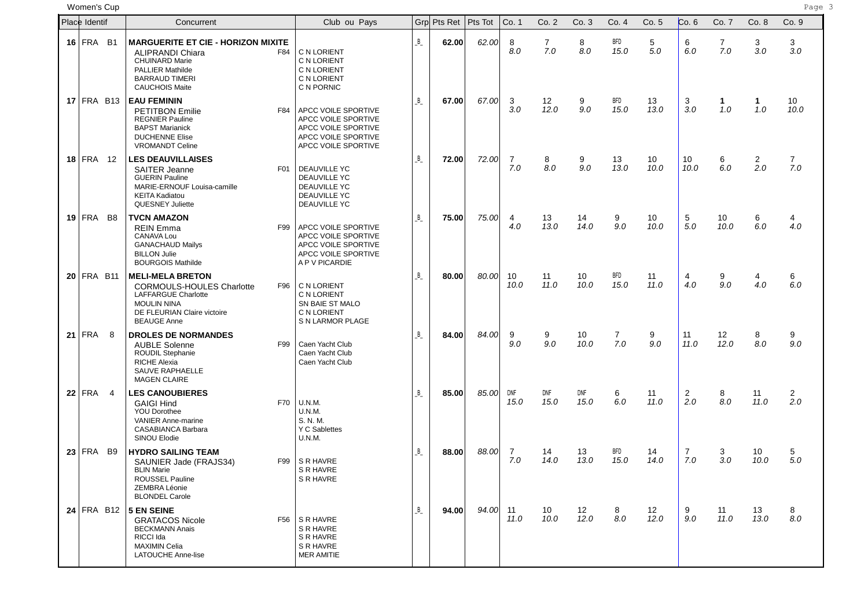women'**s Cup** Page 3 and the second page 3 and the second page 3 and the second page 3 and the second page 3 and the second page 3 and the second page 3 and the second page 3 and the second page 3 and the second page 3 and

| Place Identif |                | Concurrent                                                                                                                                                                        | Club ou Pays                                                                                                    |   | Grp Pts Ret | Pts Tot | Co. 1                 | Co. 2                 | Co. 3                   | Co. 4                 | Co. 5      | Co.6                  | Co. 7      | Co. 8                 | Co. 9                   |
|---------------|----------------|-----------------------------------------------------------------------------------------------------------------------------------------------------------------------------------|-----------------------------------------------------------------------------------------------------------------|---|-------------|---------|-----------------------|-----------------------|-------------------------|-----------------------|------------|-----------------------|------------|-----------------------|-------------------------|
| $16$ FRA B1   |                | <b>MARGUERITE ET CIE - HORIZON MIXITE</b><br><b>ALIPRANDI Chiara</b><br>F84<br><b>CHUINARD Marie</b><br><b>PALLIER Mathilde</b><br><b>BARRAUD TIMERI</b><br><b>CAUCHOIS Maite</b> | C N LORIENT<br>C N LORIENT<br>C N LORIENT<br>C N LORIENT<br>C N PORNIC                                          | B | 62.00       | 62.00   | 8<br>8.0              | $\overline{7}$<br>7.0 | 8<br>8.0                | <b>BFD</b><br>15.0    | 5<br>5.0   | 6<br>6.0              | 7<br>7.0   | 3<br>3.0              | 3<br>3.0                |
| $17$ FRA B13  |                | <b>EAU FEMININ</b><br><b>PETITBON Emilie</b><br>F84<br><b>REGNIER Pauline</b><br><b>BAPST Marianick</b><br><b>DUCHENNE Elise</b><br><b>VROMANDT Celine</b>                        | APCC VOILE SPORTIVE<br>APCC VOILE SPORTIVE<br>APCC VOILE SPORTIVE<br>APCC VOILE SPORTIVE<br>APCC VOILE SPORTIVE | B | 67.00       | 67.00   | 3<br>3.0              | 12<br>12.0            | 9<br>9.0                | <b>BFD</b><br>15.0    | 13<br>13.0 | 3<br>3.0              | 1<br>1.0   | 1<br>1.0              | 10 <sup>°</sup><br>10.0 |
| $18$ FRA 12   |                | <b>LES DEAUVILLAISES</b><br><b>SAITER Jeanne</b><br>F01<br><b>GUERIN Pauline</b><br>MARIE-ERNOUF Louisa-camille<br><b>KEITA Kadiatou</b><br><b>QUESNEY Juliette</b>               | <b>DEAUVILLE YC</b><br><b>DEAUVILLE YC</b><br><b>DEAUVILLE YC</b><br><b>DEAUVILLE YC</b><br><b>DEAUVILLE YC</b> | B | 72.00       | 72.00   | $\overline{7}$<br>7.0 | 8<br>8.0              | 9<br>9.0                | 13<br>13.0            | 10<br>10.0 | 10<br>10.0            | 6<br>6.0   | $\overline{2}$<br>2.0 | $\overline{7}$<br>7.0   |
| $19$ FRA      | B <sub>8</sub> | <b>TVCN AMAZON</b><br>F99<br><b>REIN Emma</b><br>CANAVA Lou<br><b>GANACHAUD Mailys</b><br><b>BILLON Julie</b><br><b>BOURGOIS Mathilde</b>                                         | APCC VOILE SPORTIVE<br>APCC VOILE SPORTIVE<br>APCC VOILE SPORTIVE<br>APCC VOILE SPORTIVE<br>A P V PICARDIE      | B | 75.00       | 75.00   | 4<br>4.0              | 13<br>13.0            | 14<br>14.0              | 9<br>9.0              | 10<br>10.0 | 5<br>5.0              | 10<br>10.0 | 6<br>6.0              | 4<br>4.0                |
| $20$ FRA B11  |                | <b>MELI-MELA BRETON</b><br><b>CORMOULS-HOULES Charlotte</b><br>F96<br><b>LAFFARGUE Charlotte</b><br><b>MOULIN NINA</b><br>DE FLEURIAN Claire victoire<br><b>BEAUGE Anne</b>       | C N LORIENT<br>C N LORIENT<br>SN BAIE ST MALO<br>C N LORIENT<br>S N LARMOR PLAGE                                | B | 80.00       | 80.00   | 10<br>10.0            | 11<br>11.0            | 10<br>10.0              | <b>BFD</b><br>15.0    | 11<br>11.0 | 4<br>4.0              | 9<br>9.0   | 4<br>4.0              | 6<br>6.0                |
| $21$ FRA      | 8              | <b>DROLES DE NORMANDES</b><br><b>AUBLE Solenne</b><br>F99<br><b>ROUDIL Stephanie</b><br><b>RICHE Alexia</b><br>SAUVE RAPHAELLE<br><b>MAGEN CLAIRE</b>                             | Caen Yacht Club<br>Caen Yacht Club<br>Caen Yacht Club                                                           | B | 84.00       | 84.00   | 9<br>9.0              | 9<br>9.0              | 10<br>10.0              | $\overline{7}$<br>7.0 | 9<br>9.0   | 11<br>11.0            | 12<br>12.0 | 8<br>8.0              | 9<br>9.0                |
| $22$ FRA      | $\overline{4}$ | <b>LES CANOUBIERES</b><br><b>GAIGI Hind</b><br>F70<br><b>YOU Dorothee</b><br><b>VANIER Anne-marine</b><br><b>CASABIANCA Barbara</b><br>SINOU Elodie                               | U.N.M.<br><b>U.N.M.</b><br>S. N. M.<br>Y C Sablettes<br>U.N.M.                                                  | B | 85.00       | 85.00   | <b>DNF</b><br>15.0    | DNF<br>15.0           | DNF<br>15.0             | 6<br>6.0              | 11<br>11.0 | $\overline{2}$<br>2.0 | 8<br>8.0   | 11<br>11.0            | $\mathbf{2}$<br>2.0     |
| $23$ FRA B9   |                | <b>HYDRO SAILING TEAM</b><br>F99<br>SAUNIER Jade (FRAJS34)<br><b>BLIN Marie</b><br>ROUSSEL Pauline<br>ZEMBRA Léonie<br><b>BLONDEL Carole</b>                                      | S R HAVRE<br>S R HAVRE<br>S R HAVRE                                                                             | B | 88.00       | 88.00   | $\overline{7}$<br>7.0 | 14<br>14.0            | 13<br>13.0              | BFD<br>15.0           | 14<br>14.0 | 7<br>7.0              | 3<br>3.0   | 10<br>10.0            | 5<br>5.0                |
|               |                | 24 FRA B12 5 EN SEINE<br><b>GRATACOS Nicole</b><br><b>BECKMANN Anais</b><br>RICCI Ida<br><b>MAXIMIN Celia</b><br><b>LATOUCHE Anne-lise</b>                                        | F56 SR HAVRE<br>S R HAVRE<br>S R HAVRE<br>S R HAVRE<br><b>MER AMITIE</b>                                        | B | 94.00       | 94.00   | 11<br>11.0            | 10<br>10.0            | 12 <sub>2</sub><br>12.0 | 8<br>8.0              | 12<br>12.0 | 9<br>9.0              | 11<br>11.0 | 13<br>13.0            | 8<br>8.0                |